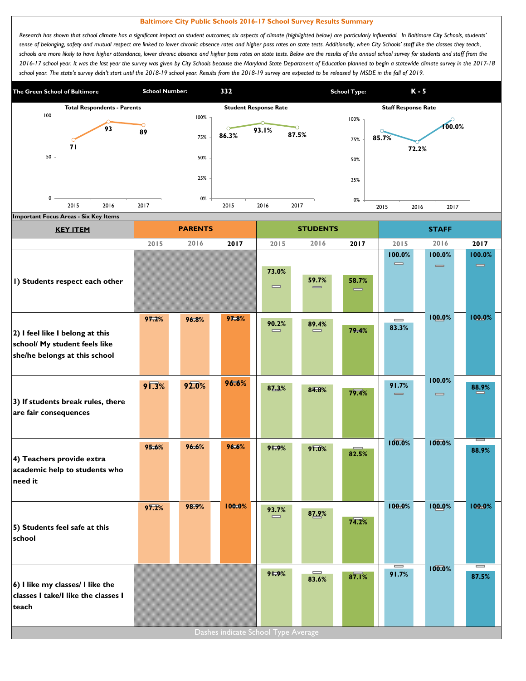## **Baltimore City Public Schools 2016-17 School Survey Results Summary**

*Research has shown that school climate has a significant impact on student outcomes; six aspects of climate (highlighted below) are particularly influential. In Baltimore City Schools, students' sense of belonging, safety and mutual respect are linked to lower chronic absence rates and higher pass rates on state tests. Additionally, when City Schools' staff like the classes they teach,*  schools are more likely to have higher attendance, lower chronic absence and higher pass rates on state tests. Below are the results of the annual school survey for students and staff from the *2016-17 school year. It was the last year the survey was given by City Schools because the Maryland State Department of Education planned to begin a statewide climate survey in the 2017-18*  school year. The state's survey didn't start until the 2018-19 school year. Results from the 2018-19 survey are expected to be released by MSDE in the fall of 2019.



| <b>KEY ITEM</b>                                                                                   |                | <b>PARENTS</b> |                                     |                                       | <b>STUDENTS</b>   |       |                                        | <b>STAFF</b>                           |                    |
|---------------------------------------------------------------------------------------------------|----------------|----------------|-------------------------------------|---------------------------------------|-------------------|-------|----------------------------------------|----------------------------------------|--------------------|
|                                                                                                   | 2015           | 2016           | 2017                                | 2015                                  | 2016              | 2017  | 2015                                   | 2016                                   | 2017               |
| I) Students respect each other                                                                    |                |                |                                     | 73.0%<br>$\qquad \qquad \blacksquare$ | 59.7%<br>$\equiv$ | 58.7% | 100.0%<br>$\qquad \qquad \blacksquare$ | 100.0%<br>$\qquad \qquad \blacksquare$ | 100.0%<br>$\equiv$ |
| 2) I feel like I belong at this<br>school/ My student feels like<br>she/he belongs at this school | 97.2%          | 96.8%          | 97.8%                               | 90.2%                                 | 89.4%<br>$\equiv$ | 79.4% | $\qquad \qquad \blacksquare$<br>83.3%  | 100.0%                                 | 100.0%             |
| 3) If students break rules, there<br>are fair consequences                                        | $9\sqrt{.3}\%$ | 92.0%          | 96.6%                               | 87.3%                                 | 84.8%             | 79.4% | 91.7%<br>$\qquad \qquad \blacksquare$  | 100.0%<br>$\qquad \qquad \blacksquare$ | 88.9%              |
| 4) Teachers provide extra<br>academic help to students who<br>need it                             | 95.6%          | 96.6%          | 96.6%                               | 91.9%                                 | 91.0%             | 82.5% | 100.0%                                 | 100.0%                                 | 88.9%              |
| 5) Students feel safe at this<br>school                                                           | 97.2%          | 98.9%          | 100.0%                              | 93.7%<br>$\equiv$                     | 87.9%             | 74.2% | 100.0%                                 | 100.0%                                 | 100.0%             |
| 6) I like my classes/ I like the<br>classes I take/I like the classes I<br>teach                  |                |                | Dashes indicate School Type Average | 91.9%                                 | $\equiv$<br>83.6% | 87.1% | I<br>91.7%                             | 100.0%                                 | $=$<br>87.5%       |